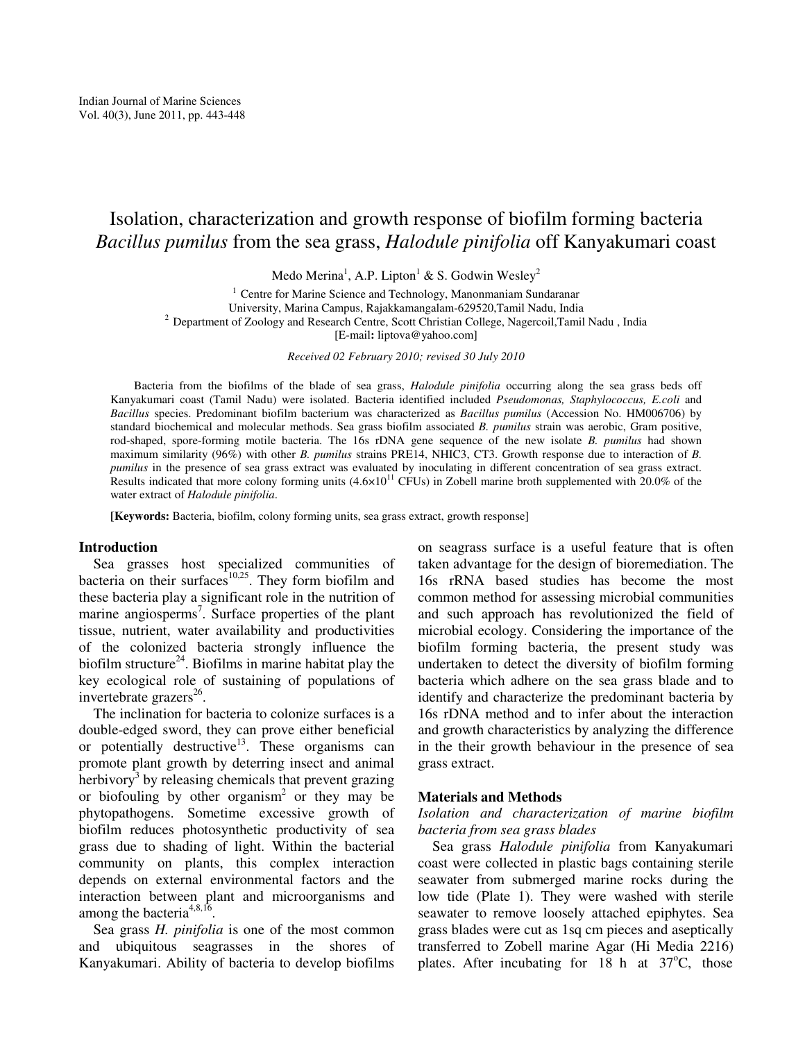# Isolation, characterization and growth response of biofilm forming bacteria *Bacillus pumilus* from the sea grass, *Halodule pinifolia* off Kanyakumari coast

Medo Merina $^1$ , A.P. Lipton $^1$  & S. Godwin Wesley $^2$ 

 $1$  Centre for Marine Science and Technology, Manonmaniam Sundaranar University, Marina Campus, Rajakkamangalam-629520,Tamil Nadu, India <sup>2</sup> Department of Zoology and Research Centre, Scott Christian College, Nagercoil,Tamil Nadu, India [E-mail**:** liptova@yahoo.com]

*Received 02 February 2010; revised 30 July 2010* 

Bacteria from the biofilms of the blade of sea grass, *Halodule pinifolia* occurring along the sea grass beds off Kanyakumari coast (Tamil Nadu) were isolated. Bacteria identified included *Pseudomonas, Staphylococcus, E.coli* and *Bacillus* species. Predominant biofilm bacterium was characterized as *Bacillus pumilus* (Accession No. HM006706) by standard biochemical and molecular methods. Sea grass biofilm associated *B. pumilus* strain was aerobic, Gram positive, rod-shaped, spore-forming motile bacteria. The 16s rDNA gene sequence of the new isolate *B. pumilus* had shown maximum similarity (96%) with other *B. pumilus* strains PRE14, NHIC3, CT3. Growth response due to interaction of *B. pumilus* in the presence of sea grass extract was evaluated by inoculating in different concentration of sea grass extract. Results indicated that more colony forming units  $(4.6 \times 10^{11} \text{ CFUs})$  in Zobell marine broth supplemented with 20.0% of the water extract of *Halodule pinifolia*.

**[Keywords:** Bacteria, biofilm, colony forming units, sea grass extract, growth response]

#### **Introduction**

 Sea grasses host specialized communities of bacteria on their surfaces $^{10,25}$ . They form biofilm and these bacteria play a significant role in the nutrition of marine angiosperms<sup>7</sup>. Surface properties of the plant tissue, nutrient, water availability and productivities of the colonized bacteria strongly influence the biofilm structure<sup>24</sup>. Biofilms in marine habitat play the key ecological role of sustaining of populations of invertebrate grazers $^{26}$ .

 The inclination for bacteria to colonize surfaces is a double-edged sword, they can prove either beneficial or potentially destructive<sup>13</sup>. These organisms can promote plant growth by deterring insect and animal herbivory<sup>3</sup> by releasing chemicals that prevent grazing or biofouling by other organism<sup>2</sup> or they may be phytopathogens. Sometime excessive growth of biofilm reduces photosynthetic productivity of sea grass due to shading of light. Within the bacterial community on plants, this complex interaction depends on external environmental factors and the interaction between plant and microorganisms and among the bacteria<sup>4,8,16</sup>.

 Sea grass *H. pinifolia* is one of the most common and ubiquitous seagrasses in the shores of Kanyakumari. Ability of bacteria to develop biofilms

on seagrass surface is a useful feature that is often taken advantage for the design of bioremediation. The 16s rRNA based studies has become the most common method for assessing microbial communities and such approach has revolutionized the field of microbial ecology. Considering the importance of the biofilm forming bacteria, the present study was undertaken to detect the diversity of biofilm forming bacteria which adhere on the sea grass blade and to identify and characterize the predominant bacteria by 16s rDNA method and to infer about the interaction and growth characteristics by analyzing the difference in the their growth behaviour in the presence of sea grass extract.

### **Materials and Methods**

## *Isolation and characterization of marine biofilm bacteria from sea grass blades*

 Sea grass *Halodule pinifolia* from Kanyakumari coast were collected in plastic bags containing sterile seawater from submerged marine rocks during the low tide (Plate 1). They were washed with sterile seawater to remove loosely attached epiphytes. Sea grass blades were cut as 1sq cm pieces and aseptically transferred to Zobell marine Agar (Hi Media 2216) plates. After incubating for  $18$  h at  $37^{\circ}$ C, those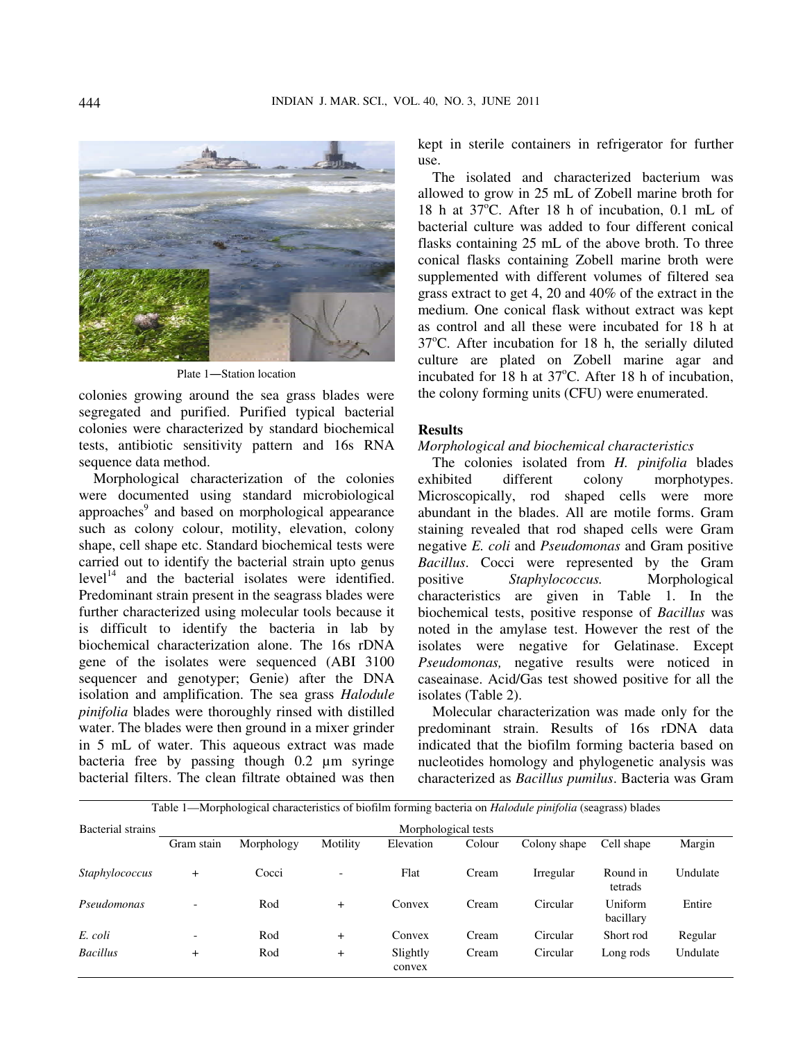

Plate 1―Station location

colonies growing around the sea grass blades were segregated and purified. Purified typical bacterial colonies were characterized by standard biochemical tests, antibiotic sensitivity pattern and 16s RNA sequence data method.

 Morphological characterization of the colonies were documented using standard microbiological approaches<sup>9</sup> and based on morphological appearance such as colony colour, motility, elevation, colony shape, cell shape etc. Standard biochemical tests were carried out to identify the bacterial strain upto genus  $level<sup>14</sup>$  and the bacterial isolates were identified. Predominant strain present in the seagrass blades were further characterized using molecular tools because it is difficult to identify the bacteria in lab by biochemical characterization alone. The 16s rDNA gene of the isolates were sequenced (ABI 3100 sequencer and genotyper; Genie) after the DNA isolation and amplification. The sea grass *Halodule pinifolia* blades were thoroughly rinsed with distilled water. The blades were then ground in a mixer grinder in 5 mL of water. This aqueous extract was made bacteria free by passing though 0.2 µm syringe bacterial filters. The clean filtrate obtained was then kept in sterile containers in refrigerator for further use.

 The isolated and characterized bacterium was allowed to grow in 25 mL of Zobell marine broth for 18 h at  $37^{\circ}$ C. After 18 h of incubation, 0.1 mL of bacterial culture was added to four different conical flasks containing 25 mL of the above broth. To three conical flasks containing Zobell marine broth were supplemented with different volumes of filtered sea grass extract to get 4, 20 and 40% of the extract in the medium. One conical flask without extract was kept as control and all these were incubated for 18 h at  $37^{\circ}$ C. After incubation for 18 h, the serially diluted culture are plated on Zobell marine agar and incubated for 18 h at  $37^{\circ}$ C. After 18 h of incubation, the colony forming units (CFU) were enumerated.

#### **Results**

## *Morphological and biochemical characteristics*

 The colonies isolated from *H. pinifolia* blades exhibited different colony morphotypes. Microscopically, rod shaped cells were more abundant in the blades. All are motile forms. Gram staining revealed that rod shaped cells were Gram negative *E. coli* and *Pseudomonas* and Gram positive *Bacillus*. Cocci were represented by the Gram positive *Staphylococcus.* Morphological characteristics are given in Table 1. In the biochemical tests, positive response of *Bacillus* was noted in the amylase test. However the rest of the isolates were negative for Gelatinase. Except *Pseudomonas,* negative results were noticed in caseainase. Acid/Gas test showed positive for all the isolates (Table 2).

 Molecular characterization was made only for the predominant strain. Results of 16s rDNA data indicated that the biofilm forming bacteria based on nucleotides homology and phylogenetic analysis was characterized as *Bacillus pumilus*. Bacteria was Gram

| Table 1—Morphological characteristics of biofilm forming bacteria on <i>Halodule pinifolia</i> (seagrass) blades |                          |            |                          |                    |        |              |                      |          |  |
|------------------------------------------------------------------------------------------------------------------|--------------------------|------------|--------------------------|--------------------|--------|--------------|----------------------|----------|--|
| Bacterial strains                                                                                                | Morphological tests      |            |                          |                    |        |              |                      |          |  |
|                                                                                                                  | Gram stain               | Morphology | Motility                 | Elevation          | Colour | Colony shape | Cell shape           | Margin   |  |
| Staphylococcus                                                                                                   | $^{+}$                   | Cocci      | $\overline{\phantom{0}}$ | Flat               | Cream  | Irregular    | Round in<br>tetrads  | Undulate |  |
| Pseudomonas                                                                                                      | $\overline{\phantom{a}}$ | Rod        | $+$                      | Convex             | Cream  | Circular     | Uniform<br>bacillary | Entire   |  |
| E. coli                                                                                                          | $\overline{\phantom{0}}$ | Rod        | $\overline{+}$           | Convex             | Cream  | Circular     | Short rod            | Regular  |  |
| <b>Bacillus</b>                                                                                                  | $\ddot{}$                | Rod        | $\overline{+}$           | Slightly<br>convex | Cream  | Circular     | Long rods            | Undulate |  |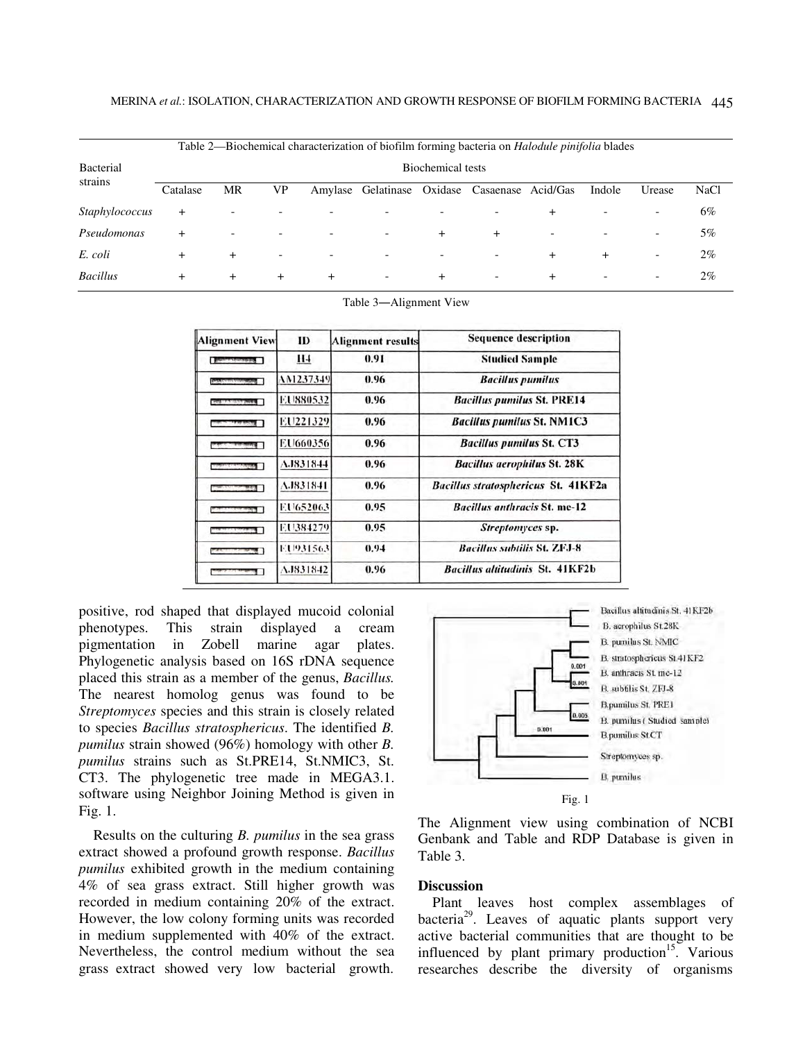| Table 2—Biochemical characterization of biofilm forming bacteria on <i>Halodule pinifolia</i> blades |                   |       |                          |       |                          |                          |                          |        |        |        |             |
|------------------------------------------------------------------------------------------------------|-------------------|-------|--------------------------|-------|--------------------------|--------------------------|--------------------------|--------|--------|--------|-------------|
| Bacterial<br>strains                                                                                 | Biochemical tests |       |                          |       |                          |                          |                          |        |        |        |             |
|                                                                                                      | Catalase          | MR    | VP                       |       | Amylase Gelatinase       | Oxidase                  | Casaenase Acid/Gas       |        | Indole | Urease | <b>NaCl</b> |
| Staphylococcus                                                                                       | $+$               |       |                          |       |                          |                          |                          |        |        |        | 6%          |
| Pseudomonas                                                                                          |                   |       | $\overline{\phantom{0}}$ |       | $\overline{\phantom{0}}$ | $\pm$                    | $\div$                   | -      |        | -      | 5%          |
| E. coli                                                                                              |                   | $\pm$ |                          |       | $\overline{\phantom{0}}$ | $\overline{\phantom{0}}$ |                          | $\pm$  | $^{+}$ | -      | $2\%$       |
| <b>Bacillus</b>                                                                                      |                   | $\pm$ | $^+$                     | $\pm$ | $\overline{\phantom{0}}$ | $\ddot{}$                | $\overline{\phantom{a}}$ | $\div$ |        | -      | $2\%$       |

Table 3―Alignment View

| <b>Alignment View</b>              | ID               | <b>Alignment results</b> | <b>Sequence description</b>                |
|------------------------------------|------------------|--------------------------|--------------------------------------------|
| <b>Baltimore of concession but</b> | H <sub>4</sub>   | 0.91                     | <b>Studied Sample</b>                      |
|                                    | AM1237349        | 0.96                     | <b>Bacillus pumilus</b>                    |
|                                    | EU880532         | 0.96                     | <b>Bacillus pumilus St. PRE14</b>          |
|                                    | EU221329         | 0.96                     | <b>Bacillus pumilus St. NM1C3</b>          |
|                                    | EU660356         | 0.96                     | <b>Bacillus pumilus St. CT3</b>            |
|                                    | <b>A.I831844</b> | 0.96                     | <b>Bacillus aerophilus St. 28K</b>         |
|                                    | A.1831841        | 0.96                     | <b>Bacillus stratosphericus St. 41KF2a</b> |
|                                    | EU652063         | 0.95                     | <b>Bacillus anthracis St. me-12</b>        |
|                                    | EU384279         | 0.95                     | <i>Streptomyces</i> sp.                    |
|                                    | EU931563         | 0.94                     | <b>Bacillus subtilis St. ZFJ-8</b>         |
|                                    | A.1831842        | 0.96                     | <b>Bacillus altitudinis St. 41KF2b</b>     |

positive, rod shaped that displayed mucoid colonial phenotypes. This strain displayed a cream pigmentation in Zobell marine agar plates. Phylogenetic analysis based on 16S rDNA sequence placed this strain as a member of the genus, *Bacillus.* The nearest homolog genus was found to be *Streptomyces* species and this strain is closely related to species *Bacillus stratosphericus*. The identified *B. pumilus* strain showed (96%) homology with other *B. pumilus* strains such as St.PRE14, St.NMIC3, St. CT3. The phylogenetic tree made in MEGA3.1. software using Neighbor Joining Method is given in Fig. 1.

 Results on the culturing *B. pumilus* in the sea grass extract showed a profound growth response. *Bacillus pumilus* exhibited growth in the medium containing 4% of sea grass extract. Still higher growth was recorded in medium containing 20% of the extract. However, the low colony forming units was recorded in medium supplemented with 40% of the extract. Nevertheless, the control medium without the sea grass extract showed very low bacterial growth.



The Alignment view using combination of NCBI Genbank and Table and RDP Database is given in Table 3.

## **Discussion**

 Plant leaves host complex assemblages of bacteria<sup>29</sup>. Leaves of aquatic plants support very active bacterial communities that are thought to be influenced by plant primary production<sup>15</sup>. Various researches describe the diversity of organisms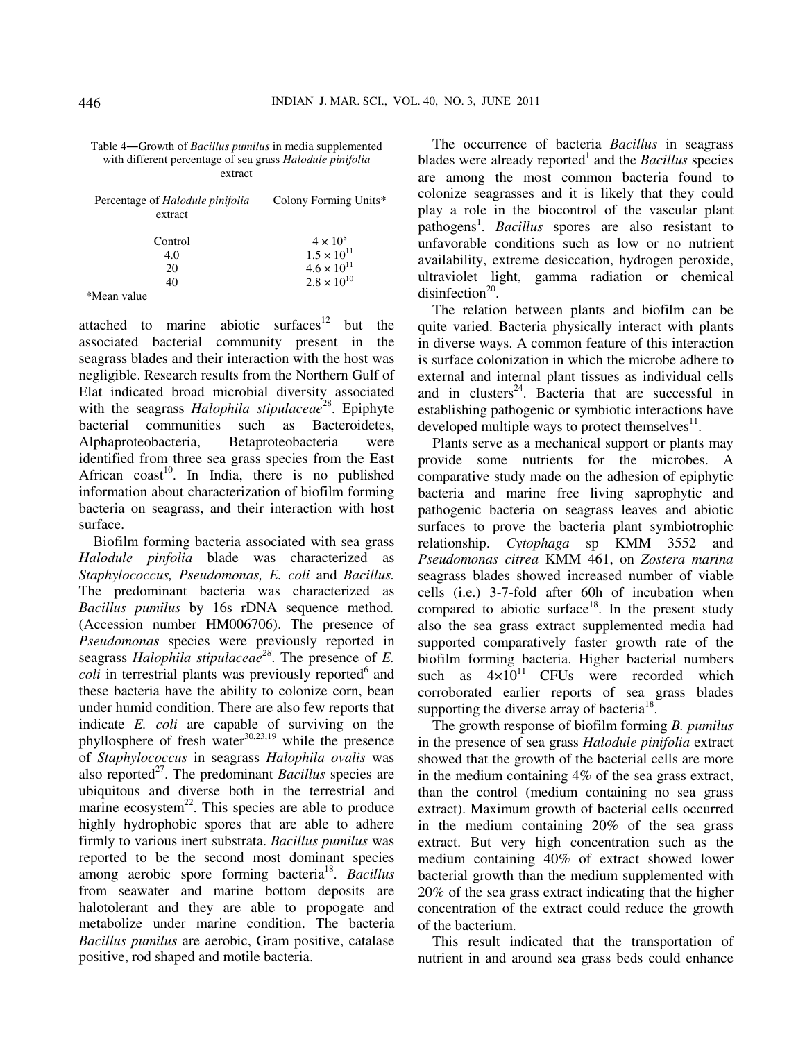| Table 4—Growth of <i>Bacillus pumilus</i> in media supplemented |
|-----------------------------------------------------------------|
| with different percentage of sea grass Halodule pinifolia       |
| extract                                                         |

| Percentage of <i>Halodule pinifolia</i><br>extract | Colony Forming Units* |
|----------------------------------------------------|-----------------------|
| Control                                            | $4 \times 10^8$       |
| 4.0                                                | $1.5 \times 10^{11}$  |
| 20                                                 | $4.6 \times 10^{11}$  |
| 40                                                 | $2.8 \times 10^{10}$  |
| *Mean value                                        |                       |

attached to marine abiotic surfaces $12$  but the associated bacterial community present in the seagrass blades and their interaction with the host was negligible. Research results from the Northern Gulf of Elat indicated broad microbial diversity associated with the seagrass *Halophila stipulaceae*<sup>28</sup>. Epiphyte bacterial communities such as Bacteroidetes, Alphaproteobacteria, Betaproteobacteria were identified from three sea grass species from the East African  $\text{const}^{10}$ . In India, there is no published information about characterization of biofilm forming bacteria on seagrass, and their interaction with host surface.

 Biofilm forming bacteria associated with sea grass *Halodule pinfolia* blade was characterized as *Staphylococcus, Pseudomonas, E. coli* and *Bacillus.*  The predominant bacteria was characterized as *Bacillus pumilus* by 16s rDNA sequence method*.*  (Accession number HM006706). The presence of *Pseudomonas* species were previously reported in seagrass *Halophila stipulaceae<sup>28</sup>*. The presence of *E.*   $\text{coll}$  in terrestrial plants was previously reported<sup>6</sup> and these bacteria have the ability to colonize corn, bean under humid condition. There are also few reports that indicate *E. coli* are capable of surviving on the phyllosphere of fresh water $30,23,19$  while the presence of *Staphylococcus* in seagrass *Halophila ovalis* was also reported<sup>27</sup>. The predominant *Bacillus* species are ubiquitous and diverse both in the terrestrial and marine ecosystem<sup>22</sup>. This species are able to produce highly hydrophobic spores that are able to adhere firmly to various inert substrata. *Bacillus pumilus* was reported to be the second most dominant species among aerobic spore forming bacteria<sup>18</sup>. Bacillus from seawater and marine bottom deposits are halotolerant and they are able to propogate and metabolize under marine condition. The bacteria *Bacillus pumilus* are aerobic, Gram positive, catalase positive, rod shaped and motile bacteria.

 The occurrence of bacteria *Bacillus* in seagrass blades were already reported<sup>1</sup> and the *Bacillus* species are among the most common bacteria found to colonize seagrasses and it is likely that they could play a role in the biocontrol of the vascular plant pathogens<sup>1</sup>. *Bacillus* spores are also resistant to unfavorable conditions such as low or no nutrient availability, extreme desiccation, hydrogen peroxide, ultraviolet light, gamma radiation or chemical disinfection<sup>20</sup>.

 The relation between plants and biofilm can be quite varied. Bacteria physically interact with plants in diverse ways. A common feature of this interaction is surface colonization in which the microbe adhere to external and internal plant tissues as individual cells and in clusters<sup>24</sup>. Bacteria that are successful in establishing pathogenic or symbiotic interactions have developed multiple ways to protect themselves $^{11}$ .

 Plants serve as a mechanical support or plants may provide some nutrients for the microbes. A comparative study made on the adhesion of epiphytic bacteria and marine free living saprophytic and pathogenic bacteria on seagrass leaves and abiotic surfaces to prove the bacteria plant symbiotrophic relationship. *Cytophaga* sp KMM 3552 and *Pseudomonas citrea* KMM 461, on *Zostera marina* seagrass blades showed increased number of viable cells (i.e.) 3-7-fold after 60h of incubation when compared to abiotic surface<sup>18</sup>. In the present study also the sea grass extract supplemented media had supported comparatively faster growth rate of the biofilm forming bacteria. Higher bacterial numbers such as  $4\times10^{11}$  CFUs were recorded which corroborated earlier reports of sea grass blades supporting the diverse array of bacteria<sup>18</sup>.

 The growth response of biofilm forming *B. pumilus* in the presence of sea grass *Halodule pinifolia* extract showed that the growth of the bacterial cells are more in the medium containing 4% of the sea grass extract, than the control (medium containing no sea grass extract). Maximum growth of bacterial cells occurred in the medium containing 20% of the sea grass extract. But very high concentration such as the medium containing 40% of extract showed lower bacterial growth than the medium supplemented with 20% of the sea grass extract indicating that the higher concentration of the extract could reduce the growth of the bacterium.

 This result indicated that the transportation of nutrient in and around sea grass beds could enhance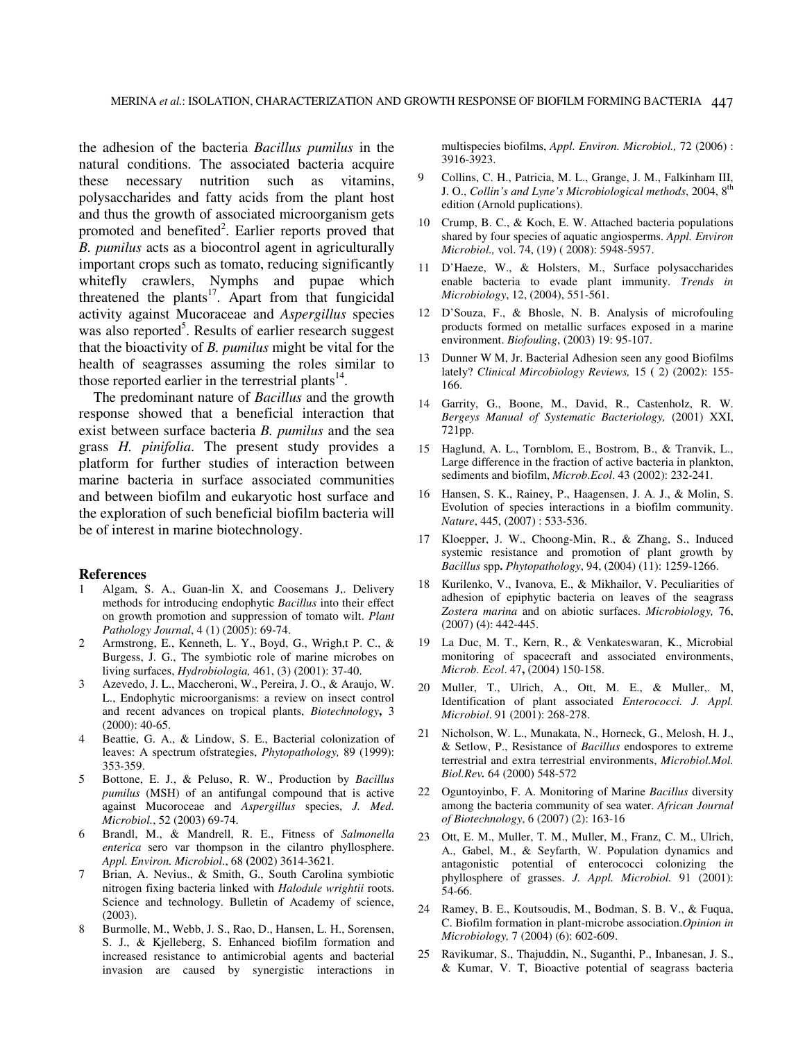the adhesion of the bacteria *Bacillus pumilus* in the natural conditions. The associated bacteria acquire these necessary nutrition such as vitamins, polysaccharides and fatty acids from the plant host and thus the growth of associated microorganism gets promoted and benefited<sup>2</sup>. Earlier reports proved that *B. pumilus* acts as a biocontrol agent in agriculturally important crops such as tomato, reducing significantly whitefly crawlers, Nymphs and pupae which threatened the plants<sup>17</sup>. Apart from that fungicidal activity against Mucoraceae and *Aspergillus* species was also reported<sup>5</sup>. Results of earlier research suggest that the bioactivity of *B. pumilus* might be vital for the health of seagrasses assuming the roles similar to those reported earlier in the terrestrial plants $^{14}$ .

 The predominant nature of *Bacillus* and the growth response showed that a beneficial interaction that exist between surface bacteria *B. pumilus* and the sea grass *H. pinifolia*. The present study provides a platform for further studies of interaction between marine bacteria in surface associated communities and between biofilm and eukaryotic host surface and the exploration of such beneficial biofilm bacteria will be of interest in marine biotechnology.

#### **References**

- 1 Algam, S. A., Guan-lin X, and Coosemans J,. Delivery methods for introducing endophytic *Bacillus* into their effect on growth promotion and suppression of tomato wilt. *Plant Pathology Journal*, 4 (1) (2005): 69-74.
- 2 Armstrong, E., Kenneth, L. Y., Boyd, G., Wrigh,t P. C., & Burgess, J. G., The symbiotic role of marine microbes on living surfaces, *Hydrobiologia,* 461, (3) (2001): 37-40.
- 3 Azevedo, J. L., Maccheroni, W., Pereira, J. O., & Araujo, W. L., Endophytic microorganisms: a review on insect control and recent advances on tropical plants, *Biotechnology***,** 3 (2000): 40-65.
- 4 Beattie, G. A., & Lindow, S. E., Bacterial colonization of leaves: A spectrum ofstrategies, *Phytopathology,* 89 (1999): 353-359.
- 5 Bottone, E. J., & Peluso, R. W., Production by *Bacillus pumilus* (MSH) of an antifungal compound that is active against Mucoroceae and *Aspergillus* species, *J. Med. Microbiol.*, 52 (2003) 69-74.
- 6 Brandl, M., & Mandrell, R. E., Fitness of *Salmonella enterica* sero var thompson in the cilantro phyllosphere. *Appl. Environ. Microbiol*., 68 **(**2002) 3614-3621.
- 7 Brian, A. Nevius., & Smith, G., South Carolina symbiotic nitrogen fixing bacteria linked with *Halodule wrightii* roots. Science and technology. Bulletin of Academy of science, (2003).
- 8 Burmolle, M., Webb, J. S., Rao, D., Hansen, L. H., Sorensen, S. J., & Kjelleberg, S. Enhanced biofilm formation and increased resistance to antimicrobial agents and bacterial invasion are caused by synergistic interactions in

multispecies biofilms, *Appl. Environ. Microbiol.,* 72 (2006) : 3916-3923.

- 9 Collins, C. H., Patricia, M. L., Grange, J. M., Falkinham III, J. O., *Collin's and Lyne's Microbiological methods*, 2004, 8th edition (Arnold puplications).
- 10 Crump, B. C., & Koch, E. W. Attached bacteria populations shared by four species of aquatic angiosperms. *Appl. Environ Microbiol.,* vol. 74, (19) ( 2008): 5948-5957.
- 11 D'Haeze, W., & Holsters, M., Surface polysaccharides enable bacteria to evade plant immunity. *Trends in Microbiology*, 12, (2004), 551-561.
- 12 D'Souza, F., & Bhosle, N. B. Analysis of microfouling products formed on metallic surfaces exposed in a marine environment. *Biofouling*, (2003) 19: 95-107.
- 13 Dunner W M, Jr. Bacterial Adhesion seen any good Biofilms lately? *Clinical Mircobiology Reviews,* 15 **(** 2) (2002): 155- 166.
- 14 Garrity, G., Boone, M., David, R., Castenholz, R. W. *Bergeys Manual of Systematic Bacteriology,* (2001) XXI, 721pp.
- 15 Haglund, A. L., Tornblom, E., Bostrom, B., & Tranvik, L., Large difference in the fraction of active bacteria in plankton, sediments and biofilm, *Microb.Ecol*. 43 (2002): 232-241.
- 16 Hansen, S. K., Rainey, P., Haagensen, J. A. J., & Molin, S. Evolution of species interactions in a biofilm community. *Nature*, 445, (2007) : 533-536.
- 17 Kloepper, J. W., Choong-Min, R., & Zhang, S., Induced systemic resistance and promotion of plant growth by *Bacillus* spp**.** *Phytopathology*, 94, (2004) (11): 1259-1266.
- 18 Kurilenko, V., Ivanova, E., & Mikhailor, V. Peculiarities of adhesion of epiphytic bacteria on leaves of the seagrass *Zostera marina* and on abiotic surfaces. *Microbiology,* 76, (2007) **(**4): 442-445.
- 19 La Duc, M. T., Kern, R., & Venkateswaran, K., Microbial monitoring of spacecraft and associated environments, *Microb. Ecol*. 47**,** (2004) 150-158.
- 20 Muller, T., Ulrich, A., Ott, M. E., & Muller,. M, Identification of plant associated *Enterococci. J. Appl. Microbiol*. 91 (2001): 268-278.
- 21 Nicholson, W. L., Munakata, N., Horneck, G., Melosh, H. J., & Setlow, P., Resistance of *Bacillus* endospores to extreme terrestrial and extra terrestrial environments, *Microbiol.Mol. Biol.Rev.* 64 (2000) 548-572
- 22 Oguntoyinbo, F. A. Monitoring of Marine *Bacillus* diversity among the bacteria community of sea water. *African Journal of Biotechnology*, 6 (2007) (2): 163-16
- 23 Ott, E. M., Muller, T. M., Muller, M., Franz, C. M., Ulrich, A., Gabel, M., & Seyfarth, W. Population dynamics and antagonistic potential of enterococci colonizing the phyllosphere of grasses. *J. Appl. Microbiol.* 91 (2001): 54-66.
- 24 Ramey, B. E., Koutsoudis, M., Bodman, S. B. V., & Fuqua, C. Biofilm formation in plant-microbe association.*Opinion in Microbiology,* 7 (2004) (6): 602-609.
- 25 Ravikumar, S., Thajuddin, N., Suganthi, P., Inbanesan, J. S., & Kumar, V. T, Bioactive potential of seagrass bacteria